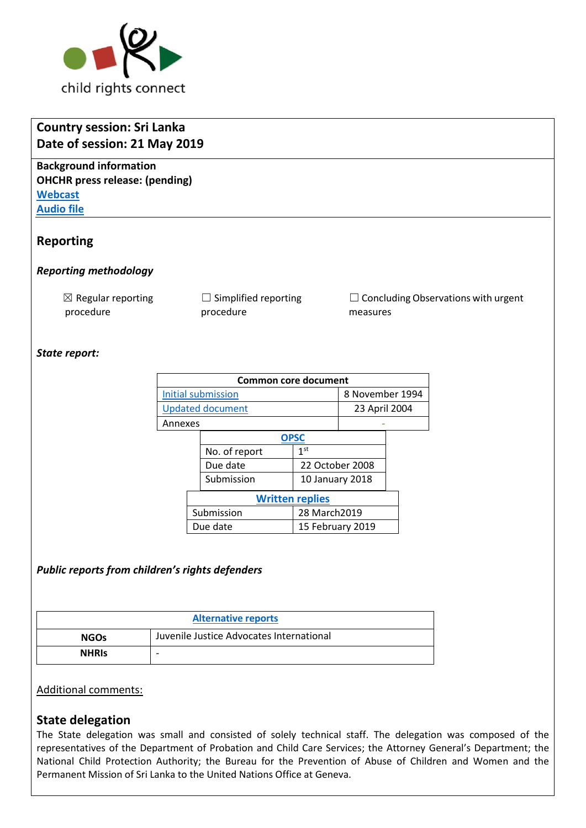

| <b>Country session: Sri Lanka</b><br>Date of session: 21 May 2019                                             |                                   |                                                        |  |  |  |  |  |
|---------------------------------------------------------------------------------------------------------------|-----------------------------------|--------------------------------------------------------|--|--|--|--|--|
| <b>Background information</b><br><b>OHCHR</b> press release: (pending)<br><b>Webcast</b><br><b>Audio file</b> |                                   |                                                        |  |  |  |  |  |
| <b>Reporting</b>                                                                                              |                                   |                                                        |  |  |  |  |  |
| <b>Reporting methodology</b>                                                                                  |                                   |                                                        |  |  |  |  |  |
| $\boxtimes$ Regular reporting<br>procedure                                                                    | Simplified reporting<br>procedure | $\Box$ Concluding Observations with urgent<br>measures |  |  |  |  |  |
| State report:                                                                                                 |                                   |                                                        |  |  |  |  |  |

| <b>Common core document</b> |                        |                  |                 |  |  |  |  |
|-----------------------------|------------------------|------------------|-----------------|--|--|--|--|
| Initial submission          |                        |                  | 8 November 1994 |  |  |  |  |
| <b>Updated document</b>     |                        |                  | 23 April 2004   |  |  |  |  |
| Annexes                     |                        |                  |                 |  |  |  |  |
|                             |                        | <b>OPSC</b>      |                 |  |  |  |  |
|                             |                        | No. of report    | 1 <sup>st</sup> |  |  |  |  |
|                             |                        | Due date         | 22 October 2008 |  |  |  |  |
|                             |                        | Submission       | 10 January 2018 |  |  |  |  |
|                             | <b>Written replies</b> |                  |                 |  |  |  |  |
|                             | Submission             |                  | 28 March2019    |  |  |  |  |
| Due date                    |                        | 15 February 2019 |                 |  |  |  |  |

## *Public reports from children's rights defenders*

| <b>Alternative reports</b> |                                          |  |  |
|----------------------------|------------------------------------------|--|--|
| <b>NGOs</b>                | Juvenile Justice Advocates International |  |  |
| <b>NHRIS</b>               | -                                        |  |  |

#### Additional comments:

## **State delegation**

The State delegation was small and consisted of solely technical staff. The delegation was composed of the representatives of the Department of Probation and Child Care Services; the Attorney General's Department; the National Child Protection Authority; the Bureau for the Prevention of Abuse of Children and Women and the Permanent Mission of Sri Lanka to the United Nations Office at Geneva.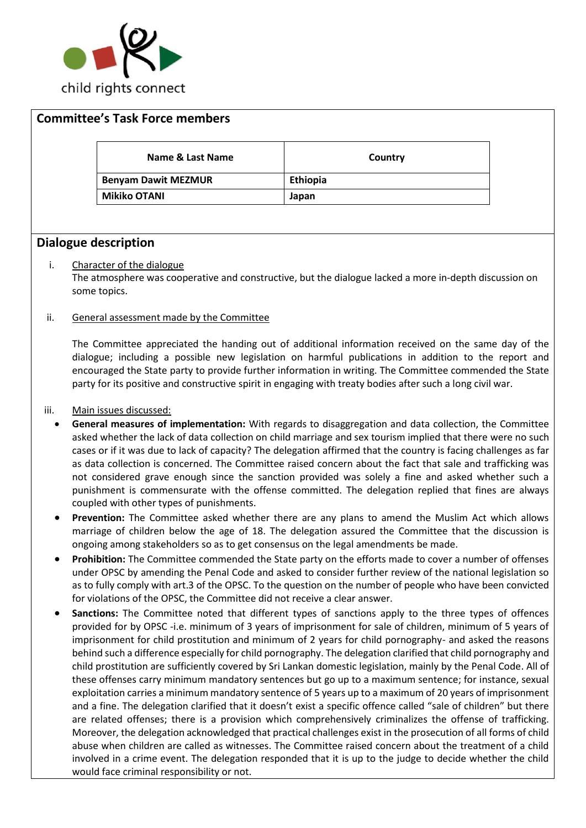

| <b>Committee's Task Force members</b> |                 |
|---------------------------------------|-----------------|
| Name & Last Name                      | Country         |
| <b>Benyam Dawit MEZMUR</b>            | <b>Ethiopia</b> |
| <b>Mikiko OTANI</b>                   | Japan           |

## **Dialogue description**

#### i. Character of the dialogue

The atmosphere was cooperative and constructive, but the dialogue lacked a more in-depth discussion on some topics.

#### ii. General assessment made by the Committee

The Committee appreciated the handing out of additional information received on the same day of the dialogue; including a possible new legislation on harmful publications in addition to the report and encouraged the State party to provide further information in writing. The Committee commended the State party for its positive and constructive spirit in engaging with treaty bodies after such a long civil war.

#### iii. Main issues discussed:

- **General measures of implementation:** With regards to disaggregation and data collection, the Committee asked whether the lack of data collection on child marriage and sex tourism implied that there were no such cases or if it was due to lack of capacity? The delegation affirmed that the country is facing challenges as far as data collection is concerned. The Committee raised concern about the fact that sale and trafficking was not considered grave enough since the sanction provided was solely a fine and asked whether such a punishment is commensurate with the offense committed. The delegation replied that fines are always coupled with other types of punishments.
- **Prevention:** The Committee asked whether there are any plans to amend the Muslim Act which allows marriage of children below the age of 18. The delegation assured the Committee that the discussion is ongoing among stakeholders so as to get consensus on the legal amendments be made.
- **Prohibition:** The Committee commended the State party on the efforts made to cover a number of offenses under OPSC by amending the Penal Code and asked to consider further review of the national legislation so as to fully comply with art.3 of the OPSC. To the question on the number of people who have been convicted for violations of the OPSC, the Committee did not receive a clear answer.
- **Sanctions:** The Committee noted that different types of sanctions apply to the three types of offences provided for by OPSC -i.e. minimum of 3 years of imprisonment for sale of children, minimum of 5 years of imprisonment for child prostitution and minimum of 2 years for child pornography- and asked the reasons behind such a difference especially for child pornography. The delegation clarified that child pornography and child prostitution are sufficiently covered by Sri Lankan domestic legislation, mainly by the Penal Code. All of these offenses carry minimum mandatory sentences but go up to a maximum sentence; for instance, sexual exploitation carries a minimum mandatory sentence of 5 years up to a maximum of 20 years of imprisonment and a fine. The delegation clarified that it doesn't exist a specific offence called "sale of children" but there are related offenses; there is a provision which comprehensively criminalizes the offense of trafficking. Moreover, the delegation acknowledged that practical challenges exist in the prosecution of all forms of child abuse when children are called as witnesses. The Committee raised concern about the treatment of a child involved in a crime event. The delegation responded that it is up to the judge to decide whether the child would face criminal responsibility or not.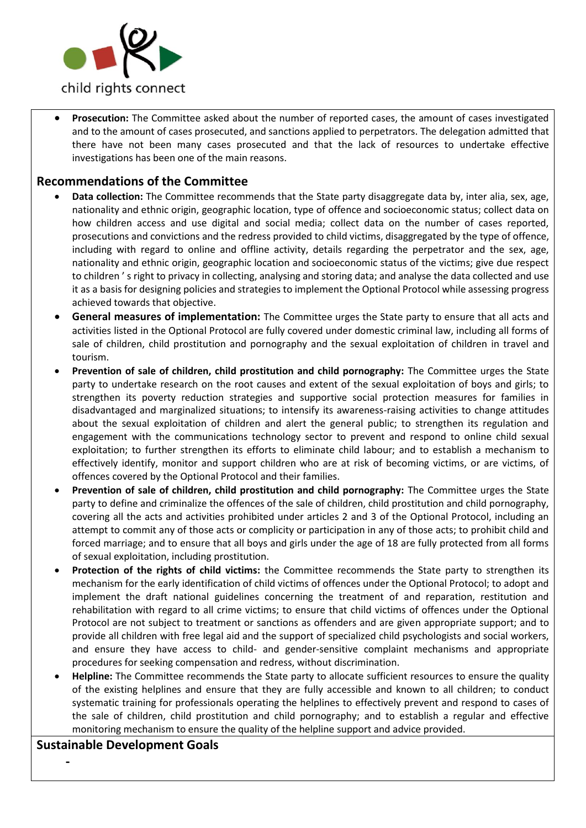

• **Prosecution:** The Committee asked about the number of reported cases, the amount of cases investigated and to the amount of cases prosecuted, and sanctions applied to perpetrators. The delegation admitted that there have not been many cases prosecuted and that the lack of resources to undertake effective investigations has been one of the main reasons.

## **Recommendations of the Committee**

- **Data collection:** The Committee recommends that the State party disaggregate data by, inter alia, sex, age, nationality and ethnic origin, geographic location, type of offence and socioeconomic status; collect data on how children access and use digital and social media; collect data on the number of cases reported, prosecutions and convictions and the redress provided to child victims, disaggregated by the type of offence, including with regard to online and offline activity, details regarding the perpetrator and the sex, age, nationality and ethnic origin, geographic location and socioeconomic status of the victims; give due respect to children ' s right to privacy in collecting, analysing and storing data; and analyse the data collected and use it as a basis for designing policies and strategies to implement the Optional Protocol while assessing progress achieved towards that objective.
- **General measures of implementation:** The Committee urges the State party to ensure that all acts and activities listed in the Optional Protocol are fully covered under domestic criminal law, including all forms of sale of children, child prostitution and pornography and the sexual exploitation of children in travel and tourism.
- **Prevention of sale of children, child prostitution and child pornography:** The Committee urges the State party to undertake research on the root causes and extent of the sexual exploitation of boys and girls; to strengthen its poverty reduction strategies and supportive social protection measures for families in disadvantaged and marginalized situations; to intensify its awareness-raising activities to change attitudes about the sexual exploitation of children and alert the general public; to strengthen its regulation and engagement with the communications technology sector to prevent and respond to online child sexual exploitation; to further strengthen its efforts to eliminate child labour; and to establish a mechanism to effectively identify, monitor and support children who are at risk of becoming victims, or are victims, of offences covered by the Optional Protocol and their families.
- **Prevention of sale of children, child prostitution and child pornography:** The Committee urges the State party to define and criminalize the offences of the sale of children, child prostitution and child pornography, covering all the acts and activities prohibited under articles 2 and 3 of the Optional Protocol, including an attempt to commit any of those acts or complicity or participation in any of those acts; to prohibit child and forced marriage; and to ensure that all boys and girls under the age of 18 are fully protected from all forms of sexual exploitation, including prostitution.
- **Protection of the rights of child victims:** the Committee recommends the State party to strengthen its mechanism for the early identification of child victims of offences under the Optional Protocol; to adopt and implement the draft national guidelines concerning the treatment of and reparation, restitution and rehabilitation with regard to all crime victims; to ensure that child victims of offences under the Optional Protocol are not subject to treatment or sanctions as offenders and are given appropriate support; and to provide all children with free legal aid and the support of specialized child psychologists and social workers, and ensure they have access to child- and gender-sensitive complaint mechanisms and appropriate procedures for seeking compensation and redress, without discrimination.
- **Helpline:** The Committee recommends the State party to allocate sufficient resources to ensure the quality of the existing helplines and ensure that they are fully accessible and known to all children; to conduct systematic training for professionals operating the helplines to effectively prevent and respond to cases of the sale of children, child prostitution and child pornography; and to establish a regular and effective monitoring mechanism to ensure the quality of the helpline support and advice provided.

## **Sustainable Development Goals**

**-**